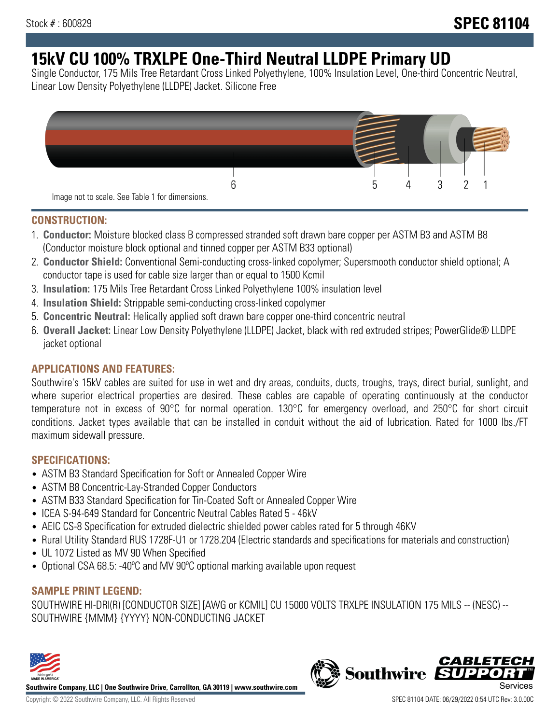# **15kV CU 100% TRXLPE One-Third Neutral LLDPE Primary UD**

Single Conductor, 175 Mils Tree Retardant Cross Linked Polyethylene, 100% Insulation Level, One-third Concentric Neutral, Linear Low Density Polyethylene (LLDPE) Jacket. Silicone Free



### **CONSTRUCTION:**

- 1. **Conductor:** Moisture blocked class B compressed stranded soft drawn bare copper per ASTM B3 and ASTM B8 (Conductor moisture block optional and tinned copper per ASTM B33 optional)
- 2. **Conductor Shield:** Conventional Semi-conducting cross-linked copolymer; Supersmooth conductor shield optional; A conductor tape is used for cable size larger than or equal to 1500 Kcmil
- 3. **Insulation:** 175 Mils Tree Retardant Cross Linked Polyethylene 100% insulation level
- 4. **Insulation Shield:** Strippable semi-conducting cross-linked copolymer
- 5. **Concentric Neutral:** Helically applied soft drawn bare copper one-third concentric neutral
- 6. **Overall Jacket:** Linear Low Density Polyethylene (LLDPE) Jacket, black with red extruded stripes; PowerGlide® LLDPE jacket optional

## **APPLICATIONS AND FEATURES:**

Southwire's 15kV cables are suited for use in wet and dry areas, conduits, ducts, troughs, trays, direct burial, sunlight, and where superior electrical properties are desired. These cables are capable of operating continuously at the conductor temperature not in excess of 90°C for normal operation. 130°C for emergency overload, and 250°C for short circuit conditions. Jacket types available that can be installed in conduit without the aid of lubrication. Rated for 1000 lbs./FT maximum sidewall pressure.

## **SPECIFICATIONS:**

- ASTM B3 Standard Specification for Soft or Annealed Copper Wire
- ASTM B8 Concentric-Lay-Stranded Copper Conductors
- ASTM B33 Standard Specification for Tin-Coated Soft or Annealed Copper Wire
- ICEA S-94-649 Standard for Concentric Neutral Cables Rated 5 46kV
- AEIC CS-8 Specification for extruded dielectric shielded power cables rated for 5 through 46KV
- Rural Utility Standard RUS 1728F-U1 or 1728.204 (Electric standards and specifications for materials and construction)
- UL 1072 Listed as MV 90 When Specified
- Optional CSA 68.5: -40ºC and MV 90ºC optional marking available upon request

## **SAMPLE PRINT LEGEND:**

SOUTHWIRE HI-DRI(R) [CONDUCTOR SIZE] [AWG or KCMIL] CU 15000 VOLTS TRXLPE INSULATION 175 MILS -- (NESC) -- SOUTHWIRE {MMM} {YYYY} NON-CONDUCTING JACKET



**Southwire Company, LLC | One Southwire Drive, Carrollton, GA 30119 | www.southwire.com**

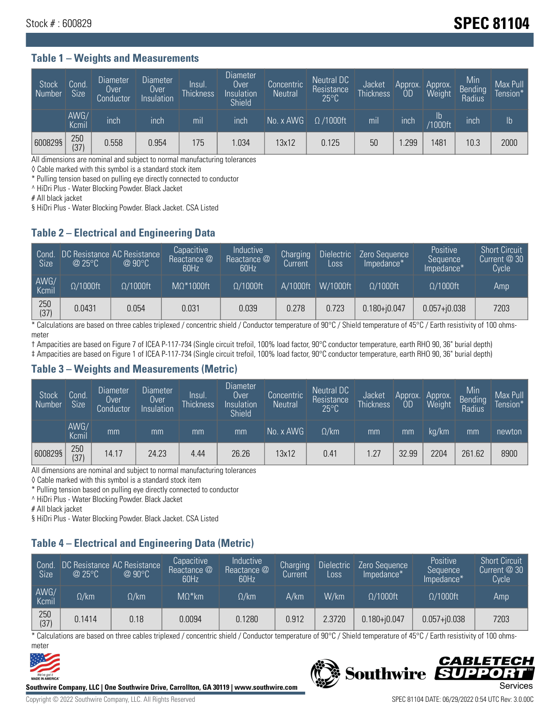# Stock # : 600829 **SPEC 81104**

#### **Table 1 – Weights and Measurements**

| Stock<br>Number | Cond.<br><b>Size</b> | <b>Diameter</b><br>Over<br>Conductor | <b>Diameter</b><br>Over<br>Insulation | Insul.<br><b>Thickness</b> | <b>Diameter</b><br>Over<br>Insulation<br><b>Shield</b> | Concentric<br><b>Neutral</b> | Neutral DC<br>Resistance<br>$25^{\circ}$ C | Jacket<br><b>Thickness</b> | Approx.<br>0D | Approx.<br>Weight    | Min<br><b>Bending</b><br>Radius | Max Pull<br>Tension*' |
|-----------------|----------------------|--------------------------------------|---------------------------------------|----------------------------|--------------------------------------------------------|------------------------------|--------------------------------------------|----------------------------|---------------|----------------------|---------------------------------|-----------------------|
|                 | AWG/<br>Kcmil        | inch                                 | inch                                  | mil                        | inch                                                   | No. x AWG                    | $\Omega$ /1000ft                           | mil                        | inch          | Ib<br><b>Y1000ft</b> | inch                            | $\mathsf{lb}$         |
| 600829§         | 250<br>(37)          | 0.558                                | 0.954                                 | 175                        | .034                                                   | 13x12                        | 0.125                                      | 50                         | .299          | 481                  | 10.3                            | 2000                  |

All dimensions are nominal and subject to normal manufacturing tolerances

◊ Cable marked with this symbol is a standard stock item

\* Pulling tension based on pulling eye directly connected to conductor

^ HiDri Plus - Water Blocking Powder. Black Jacket

# All black jacket

§ HiDri Plus - Water Blocking Powder. Black Jacket. CSA Listed

## **Table 2 – Electrical and Engineering Data**

| Cond.<br>Size | $\omega$ 25°C    | DC Resistance AC Resistance<br>$@90^{\circ}C$ | Capacitive<br>Reactance @<br>60Hz | Inductive<br>l Reactance @ '<br>60Hz | Charging<br>Current | <b>Dielectric</b><br>Loss | Zero Sequence<br>Impedance* | <b>Positive</b><br>Sequence<br>Impedance* | <b>Short Circuit</b><br>Current $@30$<br><b>Cycle</b> |
|---------------|------------------|-----------------------------------------------|-----------------------------------|--------------------------------------|---------------------|---------------------------|-----------------------------|-------------------------------------------|-------------------------------------------------------|
| AWG/<br>Kcmil | $\Omega/1000$ ft | $\Omega/1000$ ft                              | $M\Omega^*1000$ ft                | $\Omega/1000$ ft                     | A/1000ft            | W/1000ft                  | $\Omega/1000$ ft            | $\Omega/1000$ ft                          | Amp                                                   |
| 250<br>(37)   | 0.0431           | 0.054                                         | 0.031                             | 0.039                                | 0.278               | 0.723                     | $0.180 + j0.047$            | $0.057 + 0.038$                           | 7203                                                  |

\* Calculations are based on three cables triplexed / concentric shield / Conductor temperature of 90°C / Shield temperature of 45°C / Earth resistivity of 100 ohmsmeter

† Ampacities are based on Figure 7 of ICEA P-117-734 (Single circuit trefoil, 100% load factor, 90°C conductor temperature, earth RHO 90, 36" burial depth)

‡ Ampacities are based on Figure 1 of ICEA P-117-734 (Single circuit trefoil, 100% load factor, 90°C conductor temperature, earth RHO 90, 36" burial depth)

#### **Table 3 – Weights and Measurements (Metric)**

| <b>Stock</b><br>Number | Cond.<br><b>Size</b> | <b>Diameter</b><br>Over<br>Conductor | Diameter<br>Over<br>Insulation | Insul.<br><b>Thickness</b> | Diameter<br>Over<br>Insulation<br><b>Shield</b> | Concentric<br><b>Neutral</b> | Neutral DC<br>Resistance<br>$25^{\circ}$ C | Jacket<br><b>Thickness</b> | Approx.<br>0D | Approx.<br>Weight | Min<br><b>Bending</b><br>Radius | Max Pull<br>Tension* |
|------------------------|----------------------|--------------------------------------|--------------------------------|----------------------------|-------------------------------------------------|------------------------------|--------------------------------------------|----------------------------|---------------|-------------------|---------------------------------|----------------------|
|                        | AWG/<br>Kcmil        | mm                                   | mm                             | mm                         | mm                                              | No. x AWG                    | $\Omega$ /km                               | mm                         | mm            | ka/km             | mm                              | newton               |
| 600829§                | 250<br>(37)          | 14.17                                | 24.23                          | 4.44                       | 26.26                                           | 13x12                        | 0.41                                       | 1.27                       | 32.99         | 2204              | 261.62                          | 8900                 |

All dimensions are nominal and subject to normal manufacturing tolerances

◊ Cable marked with this symbol is a standard stock item

\* Pulling tension based on pulling eye directly connected to conductor

^ HiDri Plus - Water Blocking Powder. Black Jacket

# All black jacket

§ HiDri Plus - Water Blocking Powder. Black Jacket. CSA Listed

# **Table 4 – Electrical and Engineering Data (Metric)**

| Cond<br><b>Size</b> | @25°C        | DC Resistance AC Resistance<br>$@90^{\circ}C$ | Capacitive<br>Reactance @<br>60Hz | <b>Inductive</b><br>Reactance @<br>60Hz | Charging<br>'Current. | <b>Dielectric</b><br>Loss. | Zero Sequence<br>Impedance* | <b>Positive</b><br>Sequence<br>Impedance* | <b>Short Circuit</b><br>Current $@30$<br>Cycle |
|---------------------|--------------|-----------------------------------------------|-----------------------------------|-----------------------------------------|-----------------------|----------------------------|-----------------------------|-------------------------------------------|------------------------------------------------|
| AWG/<br>Kcmil       | $\Omega$ /km | $\Omega / \mathsf{km}$ .                      | $M\Omega^*$ km                    | $\Omega$ /km                            | A/km                  | W/km                       | $\Omega/1000$ ft            | $\Omega/1000$ ft                          | Amp                                            |
| 250<br>(37)         | 0.1414       | 0.18                                          | 0.0094                            | 0.1280                                  | 0.912                 | 2.3720                     | $0.180 + j0.047$            | $0.057 + j0.038$                          | 7203                                           |

\* Calculations are based on three cables triplexed / concentric shield / Conductor temperature of 90°C / Shield temperature of 45°C / Earth resistivity of 100 ohmsmeter



**Southwire Company, LLC | One Southwire Drive, Carrollton, GA 30119 | www.southwire.com**

# CABLETECI Southwire SUPP